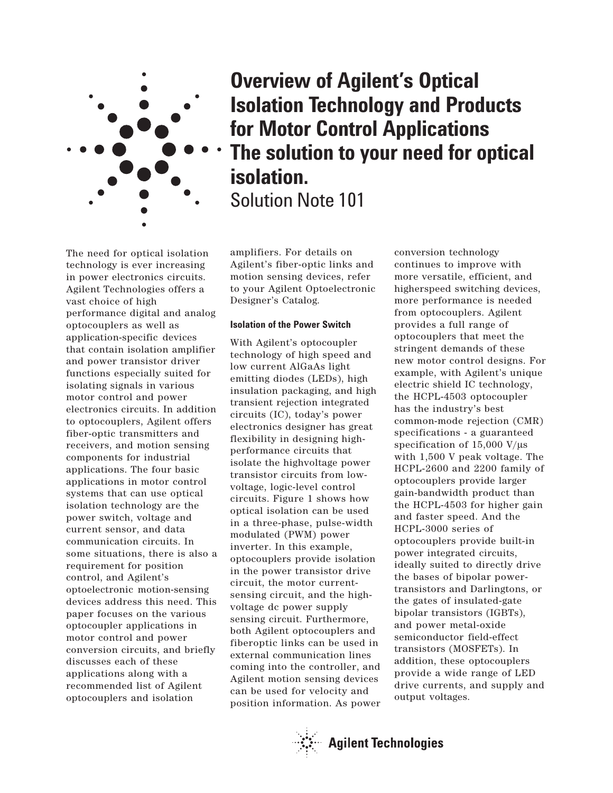

**Overview of Agilent's Optical Isolation Technology and Products for Motor Control Applications The solution to your need for optical isolation.** Solution Note 101

The need for optical isolation technology is ever increasing in power electronics circuits. Agilent Technologies offers a vast choice of high performance digital and analog optocouplers as well as application-specific devices that contain isolation amplifier and power transistor driver functions especially suited for isolating signals in various motor control and power electronics circuits. In addition to optocouplers, Agilent offers fiber-optic transmitters and receivers, and motion sensing components for industrial applications. The four basic applications in motor control systems that can use optical isolation technology are the power switch, voltage and current sensor, and data communication circuits. In some situations, there is also a requirement for position control, and Agilent's optoelectronic motion-sensing devices address this need. This paper focuses on the various optocoupler applications in motor control and power conversion circuits, and briefly discusses each of these applications along with a recommended list of Agilent optocouplers and isolation

amplifiers. For details on Agilent's fiber-optic links and motion sensing devices, refer to your Agilent Optoelectronic Designer's Catalog.

#### **Isolation of the Power Switch**

With Agilent's optocoupler technology of high speed and low current AlGaAs light emitting diodes (LEDs), high insulation packaging, and high transient rejection integrated circuits (IC), today's power electronics designer has great flexibility in designing highperformance circuits that isolate the highvoltage power transistor circuits from lowvoltage, logic-level control circuits. Figure 1 shows how optical isolation can be used in a three-phase, pulse-width modulated (PWM) power inverter. In this example, optocouplers provide isolation in the power transistor drive circuit, the motor currentsensing circuit, and the highvoltage dc power supply sensing circuit. Furthermore, both Agilent optocouplers and fiberoptic links can be used in external communication lines coming into the controller, and Agilent motion sensing devices can be used for velocity and position information. As power conversion technology continues to improve with more versatile, efficient, and higherspeed switching devices, more performance is needed from optocouplers. Agilent provides a full range of optocouplers that meet the stringent demands of these new motor control designs. For example, with Agilent's unique electric shield IC technology, the HCPL-4503 optocoupler has the industry's best common-mode rejection (CMR) specifications - a guaranteed specification of 15,000 V/ $\mu$ s with 1,500 V peak voltage. The HCPL-2600 and 2200 family of optocouplers provide larger gain-bandwidth product than the HCPL-4503 for higher gain and faster speed. And the HCPL-3000 series of optocouplers provide built-in power integrated circuits, ideally suited to directly drive the bases of bipolar powertransistors and Darlingtons, or the gates of insulated-gate bipolar transistors (IGBTs), and power metal-oxide semiconductor field-effect transistors (MOSFETs). In addition, these optocouplers provide a wide range of LED drive currents, and supply and output voltages.

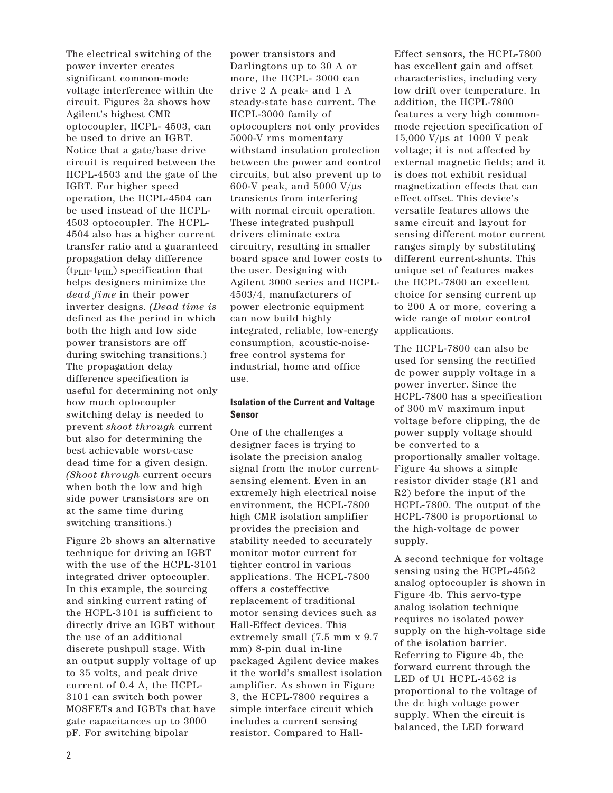The electrical switching of the power inverter creates significant common-mode voltage interference within the circuit. Figures 2a shows how Agilent's highest CMR optocoupler, HCPL- 4503, can be used to drive an IGBT. Notice that a gate/base drive circuit is required between the HCPL-4503 and the gate of the IGBT. For higher speed operation, the HCPL-4504 can be used instead of the HCPL-4503 optocoupler. The HCPL-4504 also has a higher current transfer ratio and a guaranteed propagation delay difference  $(t_{\text{PLH}}\text{-} t_{\text{PHL}})$  specification that helps designers minimize the *dead fime* in their power inverter designs. *(Dead time is* defined as the period in which both the high and low side power transistors are off during switching transitions.) The propagation delay difference specification is useful for determining not only how much optocoupler switching delay is needed to prevent *shoot through* current but also for determining the best achievable worst-case dead time for a given design. *(Shoot through* current occurs when both the low and high side power transistors are on at the same time during switching transitions.)

Figure 2b shows an alternative technique for driving an IGBT with the use of the HCPL-3101 integrated driver optocoupler. In this example, the sourcing and sinking current rating of the HCPL-3101 is sufficient to directly drive an IGBT without the use of an additional discrete pushpull stage. With an output supply voltage of up to 35 volts, and peak drive current of 0.4 A, the HCPL-3101 can switch both power MOSFETs and IGBTs that have gate capacitances up to 3000 pF. For switching bipolar

power transistors and Darlingtons up to 30 A or more, the HCPL- 3000 can drive 2 A peak- and 1 A steady-state base current. The HCPL-3000 family of optocouplers not only provides 5000-V rms momentary withstand insulation protection between the power and control circuits, but also prevent up to 600-V peak, and 5000 V/ $\mu$ s transients from interfering with normal circuit operation. These integrated pushpull drivers eliminate extra circuitry, resulting in smaller board space and lower costs to the user. Designing with Agilent 3000 series and HCPL-4503/4, manufacturers of power electronic equipment can now build highly integrated, reliable, low-energy consumption, acoustic-noisefree control systems for industrial, home and office use.

# **Isolation of the Current and Voltage Sensor**

One of the challenges a designer faces is trying to isolate the precision analog signal from the motor currentsensing element. Even in an extremely high electrical noise environment, the HCPL-7800 high CMR isolation amplifier provides the precision and stability needed to accurately monitor motor current for tighter control in various applications. The HCPL-7800 offers a costeffective replacement of traditional motor sensing devices such as Hall-Effect devices. This extremely small (7.5 mm x 9.7 mm) 8-pin dual in-line packaged Agilent device makes it the world's smallest isolation amplifier. As shown in Figure 3, the HCPL-7800 requires a simple interface circuit which includes a current sensing resistor. Compared to HallEffect sensors, the HCPL-7800 has excellent gain and offset characteristics, including very low drift over temperature. In addition, the HCPL-7800 features a very high commonmode rejection specification of 15,000 V/µs at 1000 V peak voltage; it is not affected by external magnetic fields; and it is does not exhibit residual magnetization effects that can effect offset. This device's versatile features allows the same circuit and layout for sensing different motor current ranges simply by substituting different current-shunts. This unique set of features makes the HCPL-7800 an excellent choice for sensing current up to 200 A or more, covering a wide range of motor control applications.

The HCPL-7800 can also be used for sensing the rectified dc power supply voltage in a power inverter. Since the HCPL-7800 has a specification of 300 mV maximum input voltage before clipping, the dc power supply voltage should be converted to a proportionally smaller voltage. Figure 4a shows a simple resistor divider stage (R1 and R2) before the input of the HCPL-7800. The output of the HCPL-7800 is proportional to the high-voltage dc power supply.

A second technique for voltage sensing using the HCPL-4562 analog optocoupler is shown in Figure 4b. This servo-type analog isolation technique requires no isolated power supply on the high-voltage side of the isolation barrier. Referring to Figure 4b, the forward current through the LED of U1 HCPL-4562 is proportional to the voltage of the dc high voltage power supply. When the circuit is balanced, the LED forward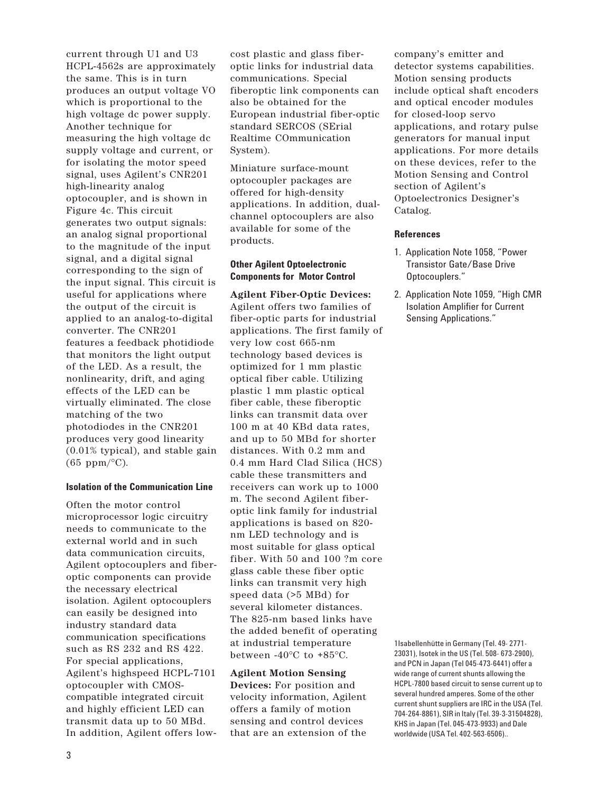current through U1 and U3 HCPL-4562s are approximately the same. This is in turn produces an output voltage VO which is proportional to the high voltage dc power supply. Another technique for measuring the high voltage dc supply voltage and current, or for isolating the motor speed signal, uses Agilent's CNR201 high-linearity analog optocoupler, and is shown in Figure 4c. This circuit generates two output signals: an analog signal proportional to the magnitude of the input signal, and a digital signal corresponding to the sign of the input signal. This circuit is useful for applications where the output of the circuit is applied to an analog-to-digital converter. The CNR201 features a feedback photidiode that monitors the light output of the LED. As a result, the nonlinearity, drift, and aging effects of the LED can be virtually eliminated. The close matching of the two photodiodes in the CNR201 produces very good linearity (0.01% typical), and stable gain  $(65 \text{ ppm}/^{\circ}\text{C}).$ 

### **Isolation of the Communication Line**

Often the motor control microprocessor logic circuitry needs to communicate to the external world and in such data communication circuits, Agilent optocouplers and fiberoptic components can provide the necessary electrical isolation. Agilent optocouplers can easily be designed into industry standard data communication specifications such as RS 232 and RS 422. For special applications, Agilent's highspeed HCPL-7101 optocoupler with CMOScompatible integrated circuit and highly efficient LED can transmit data up to 50 MBd. In addition, Agilent offers low-

cost plastic and glass fiberoptic links for industrial data communications. Special fiberoptic link components can also be obtained for the European industrial fiber-optic standard SERCOS (SErial Realtime COmmunication System).

Miniature surface-mount optocoupler packages are offered for high-density applications. In addition, dualchannel optocouplers are also available for some of the products.

## **Other Agilent Optoelectronic Components for Motor Control**

**Agilent Fiber-Optic Devices:** Agilent offers two families of fiber-optic parts for industrial applications. The first family of very low cost 665-nm technology based devices is optimized for 1 mm plastic optical fiber cable. Utilizing plastic 1 mm plastic optical fiber cable, these fiberoptic links can transmit data over 100 m at 40 KBd data rates, and up to 50 MBd for shorter distances. With 0.2 mm and 0.4 mm Hard Clad Silica (HCS) cable these transmitters and receivers can work up to 1000 m. The second Agilent fiberoptic link family for industrial applications is based on 820 nm LED technology and is most suitable for glass optical fiber. With 50 and 100 ?m core glass cable these fiber optic links can transmit very high speed data (>5 MBd) for several kilometer distances. The 825-nm based links have the added benefit of operating at industrial temperature between -40°C to +85°C.

### **Agilent Motion Sensing**

**Devices:** For position and velocity information, Agilent offers a family of motion sensing and control devices that are an extension of the company's emitter and detector systems capabilities. Motion sensing products include optical shaft encoders and optical encoder modules for closed-loop servo applications, and rotary pulse generators for manual input applications. For more details on these devices, refer to the Motion Sensing and Control section of Agilent's Optoelectronics Designer's Catalog.

#### **References**

- 1. Application Note 1058, "Power Transistor Gate/Base Drive Optocouplers."
- 2. Application Note 1059, "High CMR Isolation Amplifier for Current Sensing Applications."

1Isabellenhütte in Germany (Tel. 49- 2771- 23031), Isotek in the US (Tel. 508- 673-2900), and PCN in Japan (Tel 045-473-6441) offer a wide range of current shunts allowing the HCPL-7800 based circuit to sense current up to several hundred amperes. Some of the other current shunt suppliers are IRC in the USA (Tel. 704-264-8861), SIR in Italy (Tel. 39-3-31504828), KHS in Japan (Tel. 045-473-9933) and Dale worldwide (USA Tel. 402-563-6506)..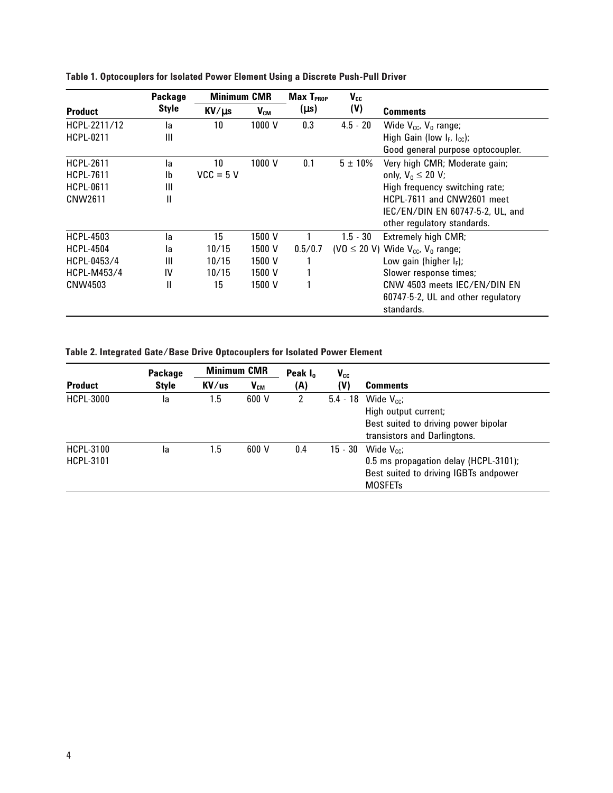| Package      | <b>Minimum CMR</b> |          | $Max$ $T_{PROP}$ | $V_{cc}$     |                                                               |
|--------------|--------------------|----------|------------------|--------------|---------------------------------------------------------------|
| <b>Style</b> | KV/µs              | $V_{CM}$ | $(\mu s)$        | (V)          | <b>Comments</b>                                               |
| la           | 10                 | 1000 V   | 0.3              | $4.5 - 20$   | Wide $V_{cc}$ , $V_0$ range;                                  |
| Ш            |                    |          |                  |              | High Gain (low $I_F$ , $I_{cc}$ );                            |
|              |                    |          |                  |              | Good general purpose optocoupler.                             |
| la           | 10                 | 1000 V   | 0.1              | $5 \pm 10\%$ | Very high CMR; Moderate gain;                                 |
| Ib           | $VCC = 5 V$        |          |                  |              | only, $V_0 \leq 20 V$ ;                                       |
| Ш            |                    |          |                  |              | High frequency switching rate;                                |
| Ш            |                    |          |                  |              | HCPL-7611 and CNW2601 meet                                    |
|              |                    |          |                  |              | IEC/EN/DIN EN 60747-5-2, UL, and                              |
|              |                    |          |                  |              | other regulatory standards.                                   |
| la           | 15                 | 1500 V   |                  | $1.5 - 30$   | Extremely high CMR;                                           |
| la           | 10/15              | 1500 V   | 0.5/0.7          |              | (VO $\leq$ 20 V) Wide V <sub>cc</sub> , V <sub>0</sub> range; |
| Ш            | 10/15              | 1500 V   |                  |              | Low gain (higher $I_F$ );                                     |
| IV           | 10/15              | 1500 V   |                  |              | Slower response times;                                        |
| Ш            | 15                 | 1500 V   |                  |              | CNW 4503 meets IEC/EN/DIN EN                                  |
|              |                    |          |                  |              | 60747-5-2, UL and other regulatory                            |
|              |                    |          |                  |              | standards.                                                    |
|              |                    |          |                  |              |                                                               |

**Table 1. Optocouplers for Isolated Power Element Using a Discrete Push-Pull Driver**

**Table 2. Integrated Gate/Base Drive Optocouplers for Isolated Power Element**

| <b>Product</b>                       | Package      | <b>Minimum CMR</b> |                            | Peak $I_0$ | $V_{cc}$   |                                                                                                                            |
|--------------------------------------|--------------|--------------------|----------------------------|------------|------------|----------------------------------------------------------------------------------------------------------------------------|
|                                      | <b>Style</b> | KV/us              | $\mathsf{V}_{\mathsf{CM}}$ | (A)        | (V)        | <b>Comments</b>                                                                                                            |
| <b>HCPL-3000</b>                     | la           | 1.5                | 600 V                      | 2          | $5.4 - 18$ | Wide $V_{cc}$ :<br>High output current;<br>Best suited to driving power bipolar<br>transistors and Darlingtons.            |
| <b>HCPL-3100</b><br><b>HCPL-3101</b> | la           | 1.5                | 600 V                      | 0.4        | $15 - 30$  | Wide $V_{\text{cc}}$ :<br>0.5 ms propagation delay (HCPL-3101);<br>Best suited to driving IGBTs andpower<br><b>MOSFETs</b> |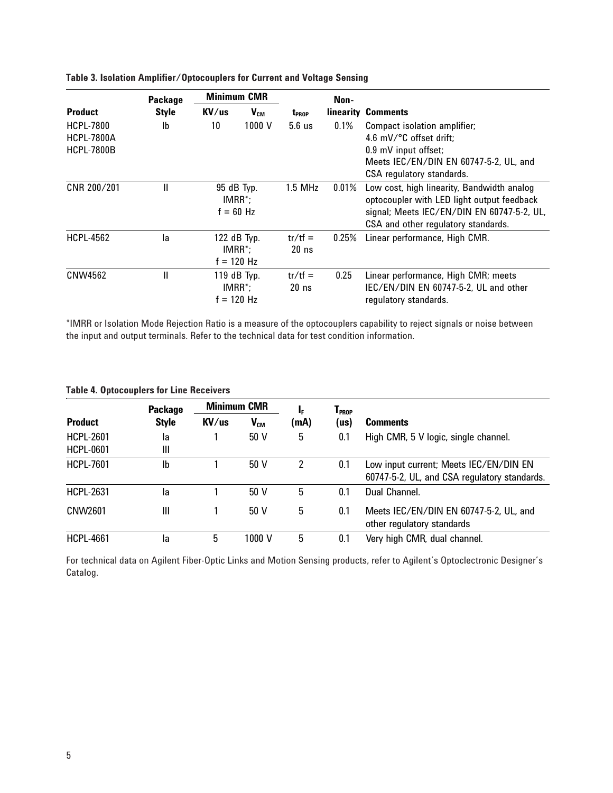|                                                            | Package      | <b>Minimum CMR</b>                          |                                           |                      | Non-     |                                                                                                                                                                               |  |
|------------------------------------------------------------|--------------|---------------------------------------------|-------------------------------------------|----------------------|----------|-------------------------------------------------------------------------------------------------------------------------------------------------------------------------------|--|
| <b>Product</b>                                             | <b>Style</b> | KV/us                                       | $V_{CM}$                                  | t <sub>prop</sub>    |          | linearity Comments                                                                                                                                                            |  |
| <b>HCPL-7800</b><br><b>HCPL-7800A</b><br><b>HCPL-7800B</b> | Ib           | 10                                          | 1000 V                                    | $5.6$ us             | 0.1%     | Compact isolation amplifier;<br>4.6 mV/ $\degree$ C offset drift:<br>0.9 mV input offset;<br>Meets IEC/EN/DIN EN 60747-5-2, UL, and<br>CSA regulatory standards.              |  |
| CNR 200/201                                                | Ш            | 95 dB Typ.<br>$IMRR^*$ ;<br>$f = 60$ Hz     |                                           | $1.5$ MHz            | $0.01\%$ | Low cost, high linearity, Bandwidth analog<br>optocoupler with LED light output feedback<br>signal; Meets IEC/EN/DIN EN 60747-5-2, UL,<br>CSA and other regulatory standards. |  |
| <b>HCPL-4562</b>                                           | la           | $122$ dB Typ.<br>$IMRR^*$ ;<br>$f = 120$ Hz |                                           | $tr/tf =$<br>$20$ ns | $0.25\%$ | Linear performance, High CMR.                                                                                                                                                 |  |
| CNW4562                                                    | Ш            |                                             | 119 dB Typ.<br>$IMRR^*$ ;<br>$f = 120$ Hz | $tr/tf =$<br>$20$ ns | 0.25     | Linear performance, High CMR; meets<br>IEC/EN/DIN EN 60747-5-2, UL and other<br>regulatory standards.                                                                         |  |

## **Table 3. Isolation Amplifier/Optocouplers for Current and Voltage Sensing**

\*IMRR or Isolation Mode Rejection Ratio is a measure of the optocouplers capability to reject signals or noise between the input and output terminals. Refer to the technical data for test condition information.

| <b>Product</b>   | <b>Package</b> | <b>Minimum CMR</b>                 |                          | ı,   | $\mathsf{T}_{\mathsf{PROP}}$ |                                              |  |
|------------------|----------------|------------------------------------|--------------------------|------|------------------------------|----------------------------------------------|--|
|                  | <b>Style</b>   | $\mathsf{K}\mathsf{V}/\mathsf{us}$ | $\mathsf{V}_\mathsf{CM}$ | (mA) | (us)                         | <b>Comments</b>                              |  |
| <b>HCPL-2601</b> | la             |                                    | 50 V                     | 5    | 0.1                          | High CMR, 5 V logic, single channel.         |  |
| <b>HCPL-0601</b> | Ш              |                                    |                          |      |                              |                                              |  |
| <b>HCPL-7601</b> | Ib             |                                    | 50 V                     | 2    | 0.1                          | Low input current; Meets IEC/EN/DIN EN       |  |
|                  |                |                                    |                          |      |                              | 60747-5-2, UL, and CSA regulatory standards. |  |
| <b>HCPL-2631</b> | la             |                                    | 50 V                     | 5    | 0.1                          | Dual Channel.                                |  |
| CNW2601          | Ш              |                                    | 50V                      | 5    | 0.1                          | Meets IEC/EN/DIN EN 60747-5-2, UL, and       |  |
|                  |                |                                    |                          |      |                              | other regulatory standards                   |  |
| <b>HCPL-4661</b> | la             | 5                                  | 1000 V                   | 5    | 0.1                          | Very high CMR, dual channel.                 |  |

For technical data on Agilent Fiber-Optic Links and Motion Sensing products, refer to Agilent's Optoclectronic Designer's Catalog.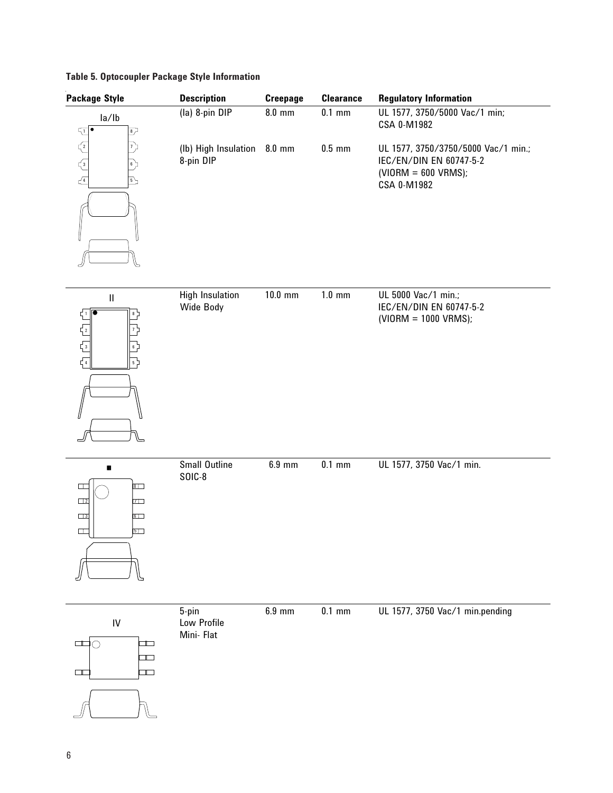|  | <b>Table 5. Optocoupler Package Style Information</b> |  |  |  |
|--|-------------------------------------------------------|--|--|--|
|--|-------------------------------------------------------|--|--|--|

| <b>Package Style</b>                                                                                                                                                                                                                                                                                                                                                                                                                                                                                                          | <b>Description</b>                       | <b>Creepage</b> | <b>Clearance</b> | <b>Regulatory Information</b>                                                                          |
|-------------------------------------------------------------------------------------------------------------------------------------------------------------------------------------------------------------------------------------------------------------------------------------------------------------------------------------------------------------------------------------------------------------------------------------------------------------------------------------------------------------------------------|------------------------------------------|-----------------|------------------|--------------------------------------------------------------------------------------------------------|
| la/lb<br>$\sqrt{1}$<br>$\overline{\mathcal{L}}$                                                                                                                                                                                                                                                                                                                                                                                                                                                                               | (la) 8-pin DIP                           | $8.0$ mm        | $0.1$ mm         | UL 1577, 3750/5000 Vac/1 min;<br>CSA 0-M1982                                                           |
| $\begin{array}{c}\n\begin{array}{c}\n\begin{array}{c}\n\diagup \\ \diagdown \\ \end{array}\n\end{array}\n\end{array}$<br>プ<br>$6 \frac{1}{r}$<br>$\overline{5}$                                                                                                                                                                                                                                                                                                                                                               | (lb) High Insulation 8.0 mm<br>8-pin DIP |                 | $0.5$ mm         | UL 1577, 3750/3750/5000 Vac/1 min.;<br>IEC/EN/DIN EN 60747-5-2<br>$(VIORM = 600 VRMS);$<br>CSA 0-M1982 |
| $\ensuremath{\mathsf{II}}$<br>$\begin{array}{c} \begin{array}{ c c c } \hline \multicolumn{1}{ c }{\multicolumn{1}{c }{\multicolumn{1}{c}}}{\multicolumn{1}{c}}\\ \hline \multicolumn{1}{ c }{\multicolumn{1}{c }{\multicolumn{1}{c}}}{\multicolumn{1}{c}}\\ \hline \multicolumn{1}{ c }{\multicolumn{1}{c}} & \multicolumn{1}{c}{\multicolumn{1}{c}}\\ \hline \multicolumn{1}{ c }{\multicolumn{1}{c}} & \multicolumn{1}{c}{\multicolumn{1}{c}}\\ \hline \multicolumn{1}{ c }{\multicolumn{1}{c}} & \mult$<br>$\overline{5}$ | <b>High Insulation</b><br>Wide Body      | $10.0$ mm       | $1.0 \text{ mm}$ | UL 5000 Vac/1 min.;<br>IEC/EN/DIN EN 60747-5-2<br>(VIORM = 1000 VRMS);                                 |
| $\blacksquare$<br>$8\Box$<br>$\Box$<br>$\Box$ 2<br>$7\Box$<br>$\Box$ 3<br>$6\Box$<br>$\Box$<br>$5\Box$                                                                                                                                                                                                                                                                                                                                                                                                                        | Small Outline<br><b>SOIC-8</b>           | $6.9$ mm        | $0.1$ mm         | UL 1577, 3750 Vac/1 min.                                                                               |
| IV<br>$\Box$<br>Г<br>$\left( \begin{array}{c} \end{array} \right)$<br>$\blacksquare$<br>$\blacksquare$<br>$\Box$                                                                                                                                                                                                                                                                                                                                                                                                              | 5-pin<br>Low Profile<br>Mini- Flat       | 6.9 mm          | $0.1$ mm         | UL 1577, 3750 Vac/1 min.pending                                                                        |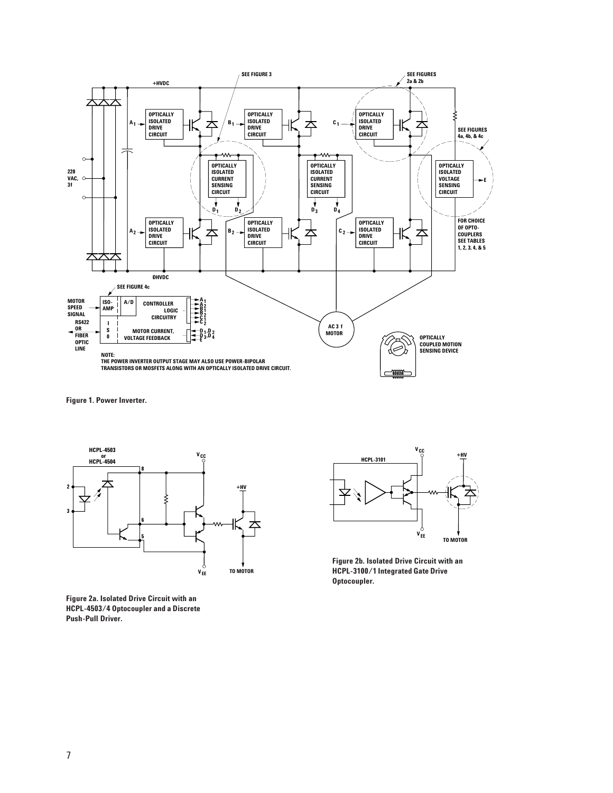

**Figure 1. Power Inverter.**



**Figure 2a. Isolated Drive Circuit with an HCPL-4503/4 Optocoupler and a Discrete Push-Pull Driver.**



**Figure 2b. Isolated Drive Circuit with an HCPL-3100/1 Integrated Gate Drive Optocoupler.**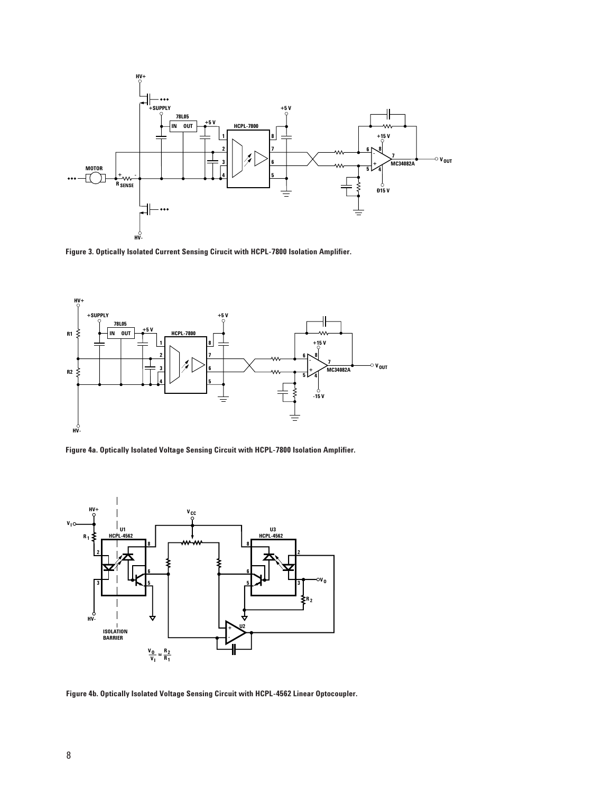

**Figure 3. Optically Isolated Current Sensing Cirucit with HCPL-7800 Isolation Amplifier.**



**Figure 4a. Optically Isolated Voltage Sensing Circuit with HCPL-7800 Isolation Amplifier.**



**Figure 4b. Optically Isolated Voltage Sensing Circuit with HCPL-4562 Linear Optocoupler.**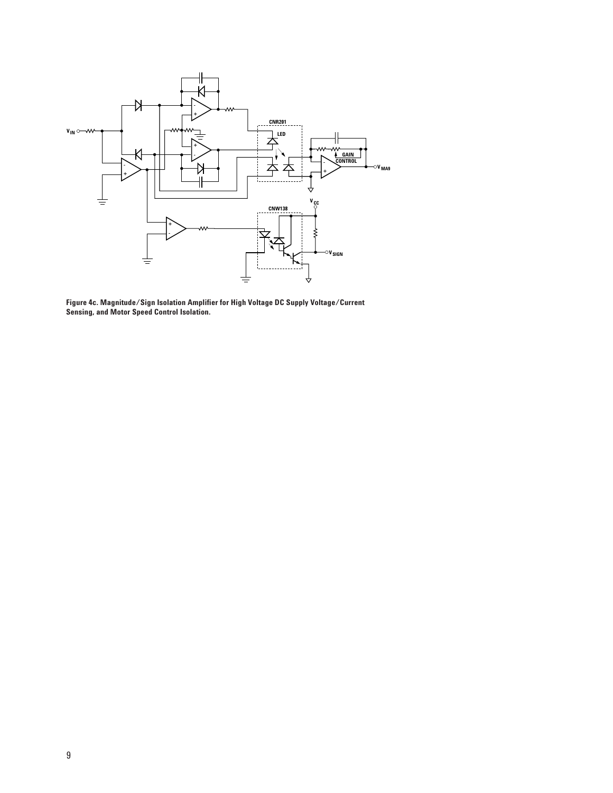

**Figure 4c. Magnitude/Sign Isolation Amplifier for High Voltage DC Supply Voltage/Current Sensing, and Motor Speed Control Isolation.**